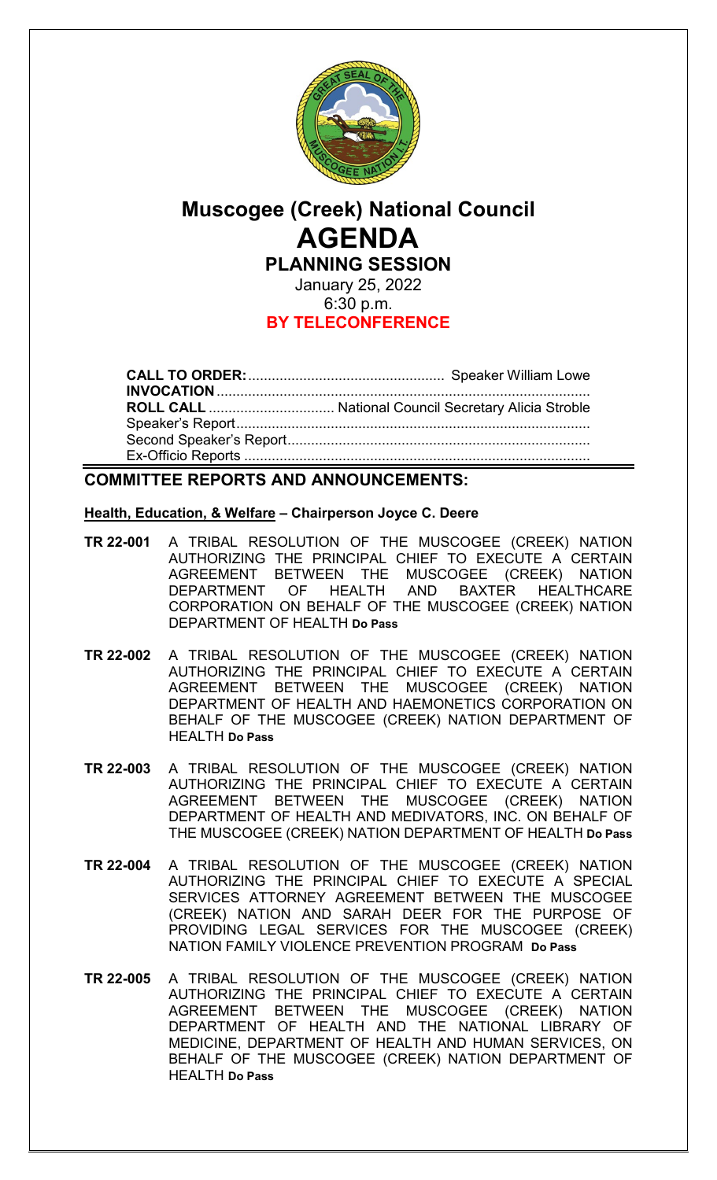

# **Muscogee (Creek) National Council AGENDA PLANNING SESSION**

January 25, 2022 6:30 p.m. **BY TELECONFERENCE**

**CALL TO ORDER:**.................................................. Speaker William Lowe **INVOCATION**............................................................................................... **ROLL CALL** ................................ National Council Secretary Alicia Stroble Speaker's Report.......................................................................................... Second Speaker's Report............................................................................. Ex-Officio Reports ........................................................................................

## **COMMITTEE REPORTS AND ANNOUNCEMENTS:**

#### **Health, Education, & Welfare – Chairperson Joyce C. Deere**

- **TR 22-001** A TRIBAL RESOLUTION OF THE MUSCOGEE (CREEK) NATION AUTHORIZING THE PRINCIPAL CHIEF TO EXECUTE A CERTAIN AGREEMENT BETWEEN THE MUSCOGEE (CREEK) NATION DEPARTMENT OF HEALTH AND BAXTER HEALTHCARE CORPORATION ON BEHALF OF THE MUSCOGEE (CREEK) NATION DEPARTMENT OF HEALTH **Do Pass**
- **TR 22-002** A TRIBAL RESOLUTION OF THE MUSCOGEE (CREEK) NATION AUTHORIZING THE PRINCIPAL CHIEF TO EXECUTE A CERTAIN AGREEMENT BETWEEN THE MUSCOGEE (CREEK) NATION DEPARTMENT OF HEALTH AND HAEMONETICS CORPORATION ON BEHALF OF THE MUSCOGEE (CREEK) NATION DEPARTMENT OF HEALTH **Do Pass**
- **TR 22-003** A TRIBAL RESOLUTION OF THE MUSCOGEE (CREEK) NATION AUTHORIZING THE PRINCIPAL CHIEF TO EXECUTE A CERTAIN AGREEMENT BETWEEN THE MUSCOGEE (CREEK) NATION DEPARTMENT OF HEALTH AND MEDIVATORS, INC. ON BEHALF OF THE MUSCOGEE (CREEK) NATION DEPARTMENT OF HEALTH **Do Pass**
- **TR 22-004** A TRIBAL RESOLUTION OF THE MUSCOGEE (CREEK) NATION AUTHORIZING THE PRINCIPAL CHIEF TO EXECUTE A SPECIAL SERVICES ATTORNEY AGREEMENT BETWEEN THE MUSCOGEE (CREEK) NATION AND SARAH DEER FOR THE PURPOSE OF PROVIDING LEGAL SERVICES FOR THE MUSCOGEE (CREEK) NATION FAMILY VIOLENCE PREVENTION PROGRAM **Do Pass**
- **TR 22-005** A TRIBAL RESOLUTION OF THE MUSCOGEE (CREEK) NATION AUTHORIZING THE PRINCIPAL CHIEF TO EXECUTE A CERTAIN AGREEMENT BETWEEN THE MUSCOGEE (CREEK) NATION DEPARTMENT OF HEALTH AND THE NATIONAL LIBRARY OF MEDICINE, DEPARTMENT OF HEALTH AND HUMAN SERVICES, ON BEHALF OF THE MUSCOGEE (CREEK) NATION DEPARTMENT OF HEALTH **Do Pass**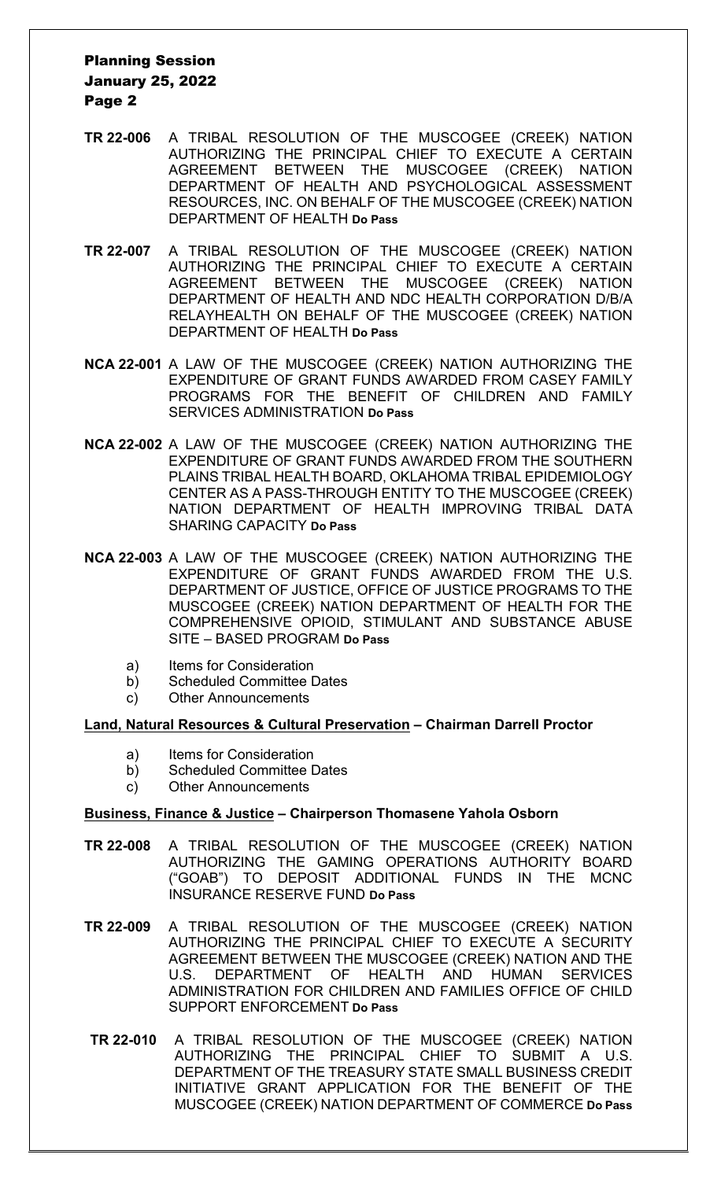### Planning Session January 25, 2022 Page 2

- **TR 22-006** A TRIBAL RESOLUTION OF THE MUSCOGEE (CREEK) NATION AUTHORIZING THE PRINCIPAL CHIEF TO EXECUTE A CERTAIN AGREEMENT BETWEEN THE MUSCOGEE (CREEK) NATION DEPARTMENT OF HEALTH AND PSYCHOLOGICAL ASSESSMENT RESOURCES, INC. ON BEHALF OF THE MUSCOGEE (CREEK) NATION DEPARTMENT OF HEALTH **Do Pass**
- **TR 22-007** A TRIBAL RESOLUTION OF THE MUSCOGEE (CREEK) NATION AUTHORIZING THE PRINCIPAL CHIEF TO EXECUTE A CERTAIN AGREEMENT BETWEEN THE MUSCOGEE (CREEK) NATION DEPARTMENT OF HEALTH AND NDC HEALTH CORPORATION D/B/A RELAYHEALTH ON BEHALF OF THE MUSCOGEE (CREEK) NATION DEPARTMENT OF HEALTH **Do Pass**
- **NCA 22-001** A LAW OF THE MUSCOGEE (CREEK) NATION AUTHORIZING THE EXPENDITURE OF GRANT FUNDS AWARDED FROM CASEY FAMILY PROGRAMS FOR THE BENEFIT OF CHILDREN AND FAMILY SERVICES ADMINISTRATION **Do Pass**
- **NCA 22-002** A LAW OF THE MUSCOGEE (CREEK) NATION AUTHORIZING THE EXPENDITURE OF GRANT FUNDS AWARDED FROM THE SOUTHERN PLAINS TRIBAL HEALTH BOARD, OKLAHOMA TRIBAL EPIDEMIOLOGY CENTER AS A PASS-THROUGH ENTITY TO THE MUSCOGEE (CREEK) NATION DEPARTMENT OF HEALTH IMPROVING TRIBAL DATA SHARING CAPACITY **Do Pass**
- **NCA 22-003** A LAW OF THE MUSCOGEE (CREEK) NATION AUTHORIZING THE EXPENDITURE OF GRANT FUNDS AWARDED FROM THE U.S. DEPARTMENT OF JUSTICE, OFFICE OF JUSTICE PROGRAMS TO THE MUSCOGEE (CREEK) NATION DEPARTMENT OF HEALTH FOR THE COMPREHENSIVE OPIOID, STIMULANT AND SUBSTANCE ABUSE SITE – BASED PROGRAM **Do Pass**
	- a) Items for Consideration
	- b) Scheduled Committee Dates
	- c) Other Announcements

#### **Land, Natural Resources & Cultural Preservation – Chairman Darrell Proctor**

- a) Items for Consideration
- b) Scheduled Committee Dates
- c) Other Announcements

#### **Business, Finance & Justice – Chairperson Thomasene Yahola Osborn**

- **TR 22-008** A TRIBAL RESOLUTION OF THE MUSCOGEE (CREEK) NATION AUTHORIZING THE GAMING OPERATIONS AUTHORITY BOARD ("GOAB") TO DEPOSIT ADDITIONAL FUNDS IN THE MCNC INSURANCE RESERVE FUND **Do Pass**
- **TR 22-009** A TRIBAL RESOLUTION OF THE MUSCOGEE (CREEK) NATION AUTHORIZING THE PRINCIPAL CHIEF TO EXECUTE A SECURITY AGREEMENT BETWEEN THE MUSCOGEE (CREEK) NATION AND THE U.S. DEPARTMENT OF HEALTH AND HUMAN SERVICES ADMINISTRATION FOR CHILDREN AND FAMILIES OFFICE OF CHILD SUPPORT ENFORCEMENT **Do Pass**
- **TR 22-010** A TRIBAL RESOLUTION OF THE MUSCOGEE (CREEK) NATION AUTHORIZING THE PRINCIPAL CHIEF TO SUBMIT A U.S. DEPARTMENT OF THE TREASURY STATE SMALL BUSINESS CREDIT INITIATIVE GRANT APPLICATION FOR THE BENEFIT OF THE MUSCOGEE (CREEK) NATION DEPARTMENT OF COMMERCE **Do Pass**